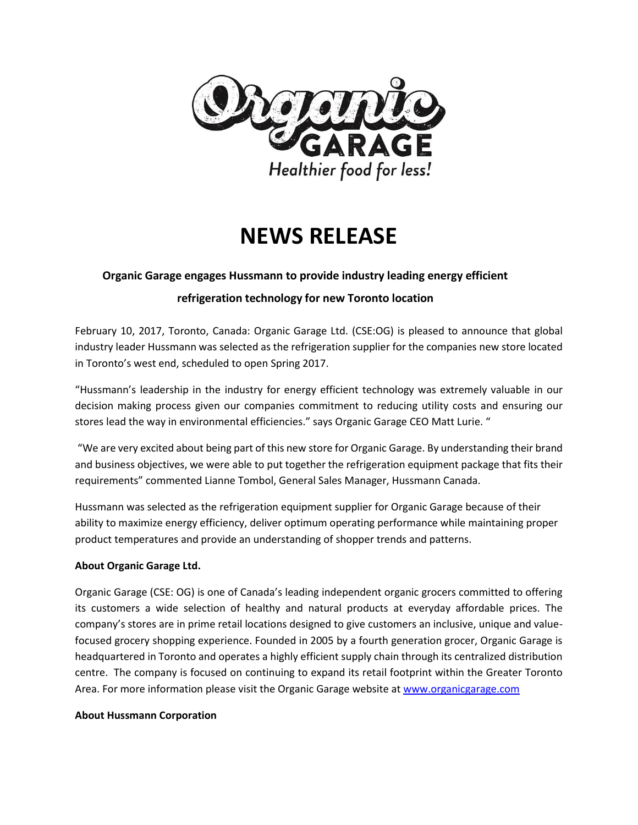

# **NEWS RELEASE**

# **Organic Garage engages Hussmann to provide industry leading energy efficient**

## **refrigeration technology for new Toronto location**

February 10, 2017, Toronto, Canada: Organic Garage Ltd. (CSE:OG) is pleased to announce that global industry leader Hussmann was selected as the refrigeration supplier for the companies new store located in Toronto's west end, scheduled to open Spring 2017.

"Hussmann's leadership in the industry for energy efficient technology was extremely valuable in our decision making process given our companies commitment to reducing utility costs and ensuring our stores lead the way in environmental efficiencies." says Organic Garage CEO Matt Lurie. "

"We are very excited about being part of this new store for Organic Garage. By understanding their brand and business objectives, we were able to put together the refrigeration equipment package that fits their requirements" commented Lianne Tombol, General Sales Manager, Hussmann Canada.

Hussmann was selected as the refrigeration equipment supplier for Organic Garage because of their ability to maximize energy efficiency, deliver optimum operating performance while maintaining proper product temperatures and provide an understanding of shopper trends and patterns.

### **About Organic Garage Ltd.**

Organic Garage (CSE: OG) is one of Canada's leading independent organic grocers committed to offering its customers a wide selection of healthy and natural products at everyday affordable prices. The company's stores are in prime retail locations designed to give customers an inclusive, unique and valuefocused grocery shopping experience. Founded in 2005 by a fourth generation grocer, Organic Garage is headquartered in Toronto and operates a highly efficient supply chain through its centralized distribution centre. The company is focused on continuing to expand its retail footprint within the Greater Toronto Area. For more information please visit the Organic Garage website at [www.organicgarage.com](http://www.organicgarage.com/)

#### **About Hussmann Corporation**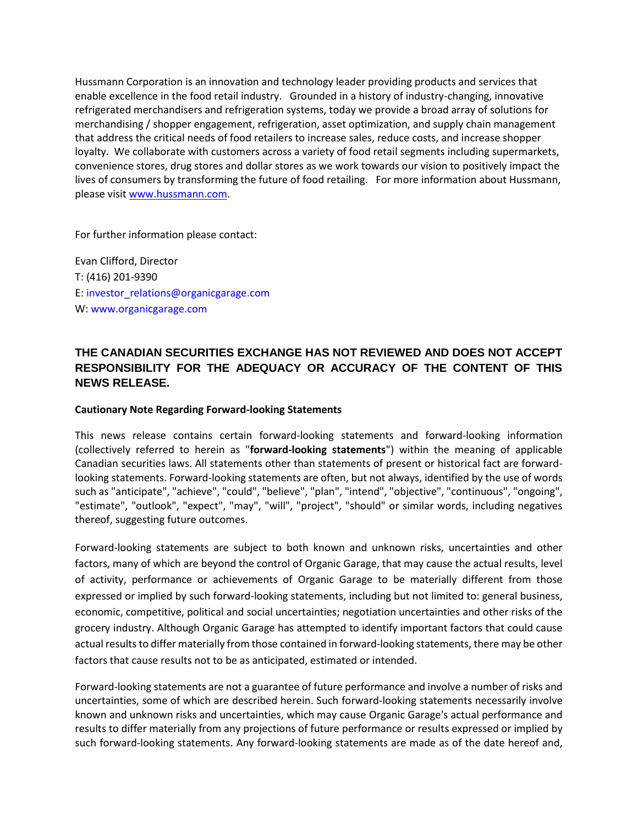Hussmann Corporation is an innovation and technology leader providing products and services that enable excellence in the food retail industry. Grounded in a history of industry-changing, innovative refrigerated merchandisers and refrigeration systems, today we provide a broad array of solutions for merchandising / shopper engagement, refrigeration, asset optimization, and supply chain management that address the critical needs of food retailers to increase sales, reduce costs, and increase shopper loyalty. We collaborate with customers across a variety of food retail segments including supermarkets, convenience stores, drug stores and dollar stores as we work towards our vision to positively impact the lives of consumers by transforming the future of food retailing. For more information about Hussmann, please visit [www.hussmann.com.](http://www.hussmann.com/)

For further information please contact:

Evan Clifford, Director T: (416) 201-9390 E: [investor\\_relations@organicgarage.com](mailto:investor_relations@organicgarage.com) W: [www.organicgarage.com](http://www.organicgarage.com/)

# **THE CANADIAN SECURITIES EXCHANGE HAS NOT REVIEWED AND DOES NOT ACCEPT RESPONSIBILITY FOR THE ADEQUACY OR ACCURACY OF THE CONTENT OF THIS NEWS RELEASE.**

#### **Cautionary Note Regarding Forward-looking Statements**

This news release contains certain forward-looking statements and forward-looking information (collectively referred to herein as "**forward-looking statements**") within the meaning of applicable Canadian securities laws. All statements other than statements of present or historical fact are forwardlooking statements. Forward-looking statements are often, but not always, identified by the use of words such as "anticipate", "achieve", "could", "believe", "plan", "intend", "objective", "continuous", "ongoing", "estimate", "outlook", "expect", "may", "will", "project", "should" or similar words, including negatives thereof, suggesting future outcomes.

Forward-looking statements are subject to both known and unknown risks, uncertainties and other factors, many of which are beyond the control of Organic Garage, that may cause the actual results, level of activity, performance or achievements of Organic Garage to be materially different from those expressed or implied by such forward-looking statements, including but not limited to: general business, economic, competitive, political and social uncertainties; negotiation uncertainties and other risks of the grocery industry. Although Organic Garage has attempted to identify important factors that could cause actual results to differ materially from those contained in forward-looking statements, there may be other factors that cause results not to be as anticipated, estimated or intended.

Forward-looking statements are not a guarantee of future performance and involve a number of risks and uncertainties, some of which are described herein. Such forward-looking statements necessarily involve known and unknown risks and uncertainties, which may cause Organic Garage's actual performance and results to differ materially from any projections of future performance or results expressed or implied by such forward-looking statements. Any forward-looking statements are made as of the date hereof and,